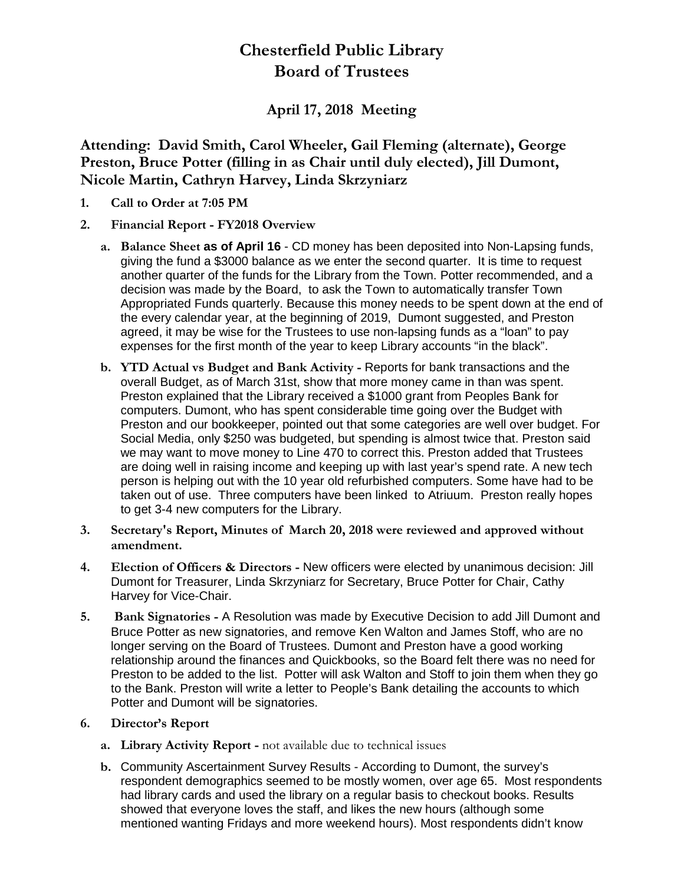# **Chesterfield Public Library Board of Trustees**

## **April 17, 2018 Meeting**

**Attending: David Smith, Carol Wheeler, Gail Fleming (alternate), George Preston, Bruce Potter (filling in as Chair until duly elected), Jill Dumont, Nicole Martin, Cathryn Harvey, Linda Skrzyniarz**

- **1. Call to Order at 7:05 PM**
- **2. Financial Report - FY2018 Overview**
	- **a. Balance Sheet as of April 16** CD money has been deposited into Non-Lapsing funds, giving the fund a \$3000 balance as we enter the second quarter. It is time to request another quarter of the funds for the Library from the Town. Potter recommended, and a decision was made by the Board, to ask the Town to automatically transfer Town Appropriated Funds quarterly. Because this money needs to be spent down at the end of the every calendar year, at the beginning of 2019, Dumont suggested, and Preston agreed, it may be wise for the Trustees to use non-lapsing funds as a "loan" to pay expenses for the first month of the year to keep Library accounts "in the black".
	- **b. YTD Actual vs Budget and Bank Activity -** Reports for bank transactions and the overall Budget, as of March 31st, show that more money came in than was spent. Preston explained that the Library received a \$1000 grant from Peoples Bank for computers. Dumont, who has spent considerable time going over the Budget with Preston and our bookkeeper, pointed out that some categories are well over budget. For Social Media, only \$250 was budgeted, but spending is almost twice that. Preston said we may want to move money to Line 470 to correct this. Preston added that Trustees are doing well in raising income and keeping up with last year's spend rate. A new tech person is helping out with the 10 year old refurbished computers. Some have had to be taken out of use. Three computers have been linked to Atriuum. Preston really hopes to get 3-4 new computers for the Library.
- **3. Secretary's Report, Minutes of March 20, 2018 were reviewed and approved without amendment.**
- **4. Election of Officers & Directors -** New officers were elected by unanimous decision: Jill Dumont for Treasurer, Linda Skrzyniarz for Secretary, Bruce Potter for Chair, Cathy Harvey for Vice-Chair.
- **5. Bank Signatories -** A Resolution was made by Executive Decision to add Jill Dumont and Bruce Potter as new signatories, and remove Ken Walton and James Stoff, who are no longer serving on the Board of Trustees. Dumont and Preston have a good working relationship around the finances and Quickbooks, so the Board felt there was no need for Preston to be added to the list. Potter will ask Walton and Stoff to join them when they go to the Bank. Preston will write a letter to People's Bank detailing the accounts to which Potter and Dumont will be signatories.
- **6. Director's Report**
	- **a. Library Activity Report -** not available due to technical issues
	- **b.** Community Ascertainment Survey Results According to Dumont, the survey's respondent demographics seemed to be mostly women, over age 65. Most respondents had library cards and used the library on a regular basis to checkout books. Results showed that everyone loves the staff, and likes the new hours (although some mentioned wanting Fridays and more weekend hours). Most respondents didn't know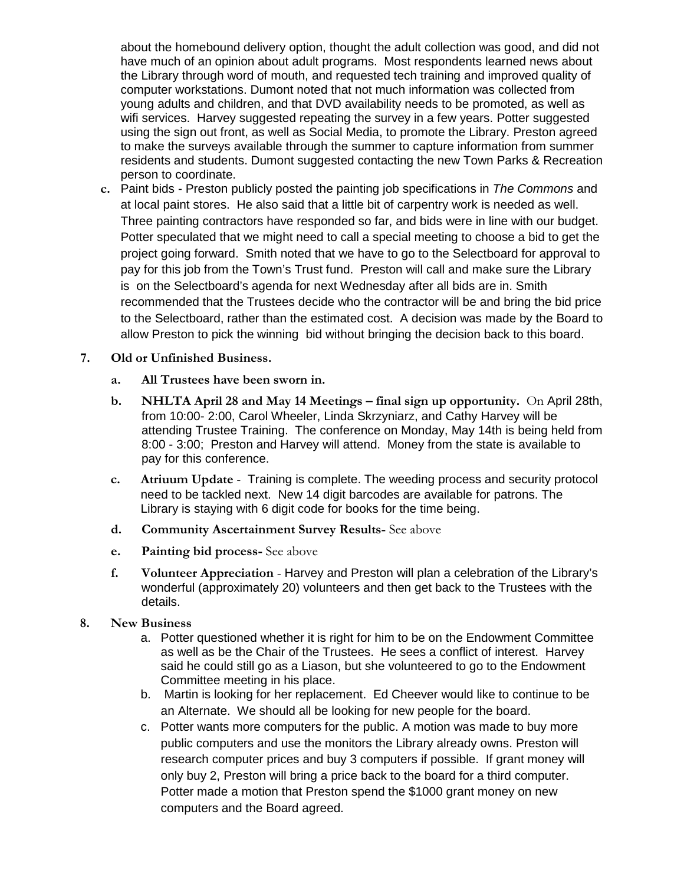about the homebound delivery option, thought the adult collection was good, and did not have much of an opinion about adult programs. Most respondents learned news about the Library through word of mouth, and requested tech training and improved quality of computer workstations. Dumont noted that not much information was collected from young adults and children, and that DVD availability needs to be promoted, as well as wifi services. Harvey suggested repeating the survey in a few years. Potter suggested using the sign out front, as well as Social Media, to promote the Library. Preston agreed to make the surveys available through the summer to capture information from summer residents and students. Dumont suggested contacting the new Town Parks & Recreation person to coordinate.

- **c.** Paint bids Preston publicly posted the painting job specifications in *The Commons* and at local paint stores. He also said that a little bit of carpentry work is needed as well. Three painting contractors have responded so far, and bids were in line with our budget. Potter speculated that we might need to call a special meeting to choose a bid to get the project going forward. Smith noted that we have to go to the Selectboard for approval to pay for this job from the Town's Trust fund. Preston will call and make sure the Library is on the Selectboard's agenda for next Wednesday after all bids are in. Smith recommended that the Trustees decide who the contractor will be and bring the bid price to the Selectboard, rather than the estimated cost. A decision was made by the Board to allow Preston to pick the winning bid without bringing the decision back to this board.
- **7. Old or Unfinished Business.**
	- **a. All Trustees have been sworn in.**
	- **b. NHLTA April 28 and May 14 Meetings – final sign up opportunity.** On April 28th, from 10:00- 2:00, Carol Wheeler, Linda Skrzyniarz, and Cathy Harvey will be attending Trustee Training. The conference on Monday, May 14th is being held from 8:00 - 3:00; Preston and Harvey will attend. Money from the state is available to pay for this conference.
	- **c. Atriuum Update**  Training is complete. The weeding process and security protocol need to be tackled next. New 14 digit barcodes are available for patrons. The Library is staying with 6 digit code for books for the time being.
	- **d. Community Ascertainment Survey Results-** See above
	- **e. Painting bid process-** See above
	- **f. Volunteer Appreciation**  Harvey and Preston will plan a celebration of the Library's wonderful (approximately 20) volunteers and then get back to the Trustees with the details.
- **8. New Business**
	- a. Potter questioned whether it is right for him to be on the Endowment Committee as well as be the Chair of the Trustees. He sees a conflict of interest. Harvey said he could still go as a Liason, but she volunteered to go to the Endowment Committee meeting in his place.
	- b. Martin is looking for her replacement. Ed Cheever would like to continue to be an Alternate. We should all be looking for new people for the board.
	- c. Potter wants more computers for the public. A motion was made to buy more public computers and use the monitors the Library already owns. Preston will research computer prices and buy 3 computers if possible. If grant money will only buy 2, Preston will bring a price back to the board for a third computer. Potter made a motion that Preston spend the \$1000 grant money on new computers and the Board agreed.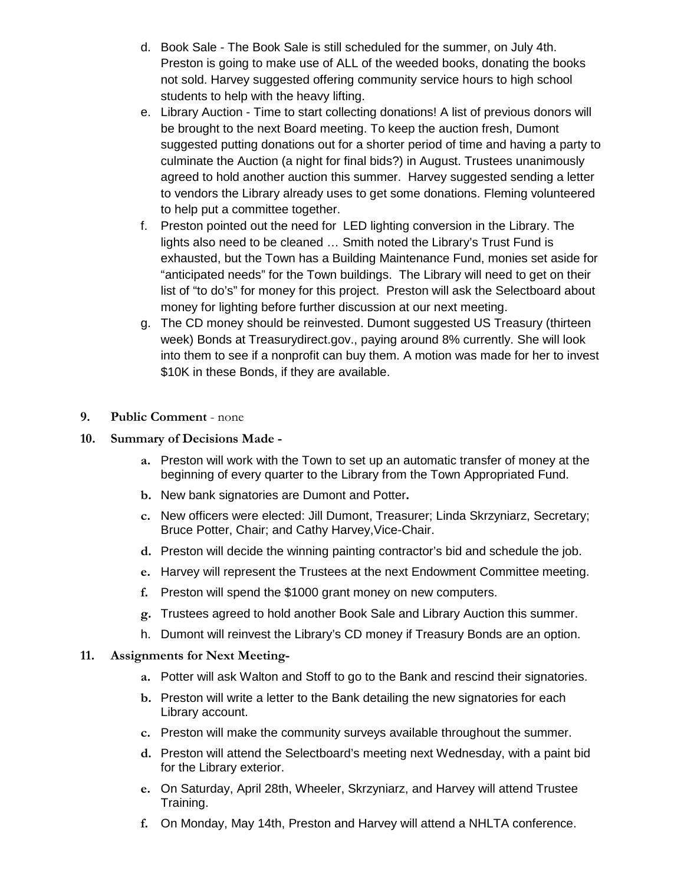- d. Book Sale The Book Sale is still scheduled for the summer, on July 4th. Preston is going to make use of ALL of the weeded books, donating the books not sold. Harvey suggested offering community service hours to high school students to help with the heavy lifting.
- e. Library Auction Time to start collecting donations! A list of previous donors will be brought to the next Board meeting. To keep the auction fresh, Dumont suggested putting donations out for a shorter period of time and having a party to culminate the Auction (a night for final bids?) in August. Trustees unanimously agreed to hold another auction this summer. Harvey suggested sending a letter to vendors the Library already uses to get some donations. Fleming volunteered to help put a committee together.
- f. Preston pointed out the need for LED lighting conversion in the Library. The lights also need to be cleaned … Smith noted the Library's Trust Fund is exhausted, but the Town has a Building Maintenance Fund, monies set aside for "anticipated needs" for the Town buildings. The Library will need to get on their list of "to do's" for money for this project. Preston will ask the Selectboard about money for lighting before further discussion at our next meeting.
- g. The CD money should be reinvested. Dumont suggested US Treasury (thirteen week) Bonds at Treasurydirect.gov., paying around 8% currently. She will look into them to see if a nonprofit can buy them. A motion was made for her to invest \$10K in these Bonds, if they are available.
- **9. Public Comment**  none

#### **10. Summary of Decisions Made -**

- **a.** Preston will work with the Town to set up an automatic transfer of money at the beginning of every quarter to the Library from the Town Appropriated Fund.
- **b.** New bank signatories are Dumont and Potter**.**
- **c.** New officers were elected: Jill Dumont, Treasurer; Linda Skrzyniarz, Secretary; Bruce Potter, Chair; and Cathy Harvey,Vice-Chair.
- **d.** Preston will decide the winning painting contractor's bid and schedule the job.
- **e.** Harvey will represent the Trustees at the next Endowment Committee meeting.
- **f.** Preston will spend the \$1000 grant money on new computers.
- **g.** Trustees agreed to hold another Book Sale and Library Auction this summer.
- h. Dumont will reinvest the Library's CD money if Treasury Bonds are an option.

#### **11. Assignments for Next Meeting-**

- **a.** Potter will ask Walton and Stoff to go to the Bank and rescind their signatories.
- **b.** Preston will write a letter to the Bank detailing the new signatories for each Library account.
- **c.** Preston will make the community surveys available throughout the summer.
- **d.** Preston will attend the Selectboard's meeting next Wednesday, with a paint bid for the Library exterior.
- **e.** On Saturday, April 28th, Wheeler, Skrzyniarz, and Harvey will attend Trustee Training.
- **f.** On Monday, May 14th, Preston and Harvey will attend a NHLTA conference.